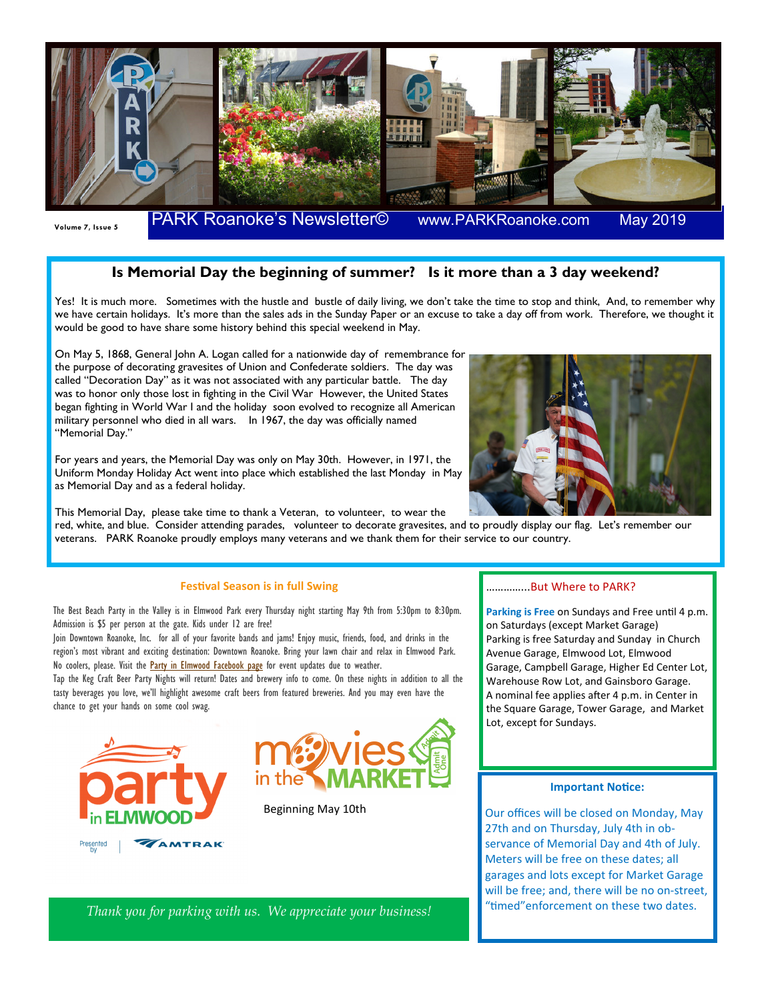

**May 2019** 

## **Is Memorial Day the beginning of summer? Is it more than a 3 day weekend?**

Yes! It is much more. Sometimes with the hustle and bustle of daily living, we don't take the time to stop and think, And, to remember why we have certain holidays. It's more than the sales ads in the Sunday Paper or an excuse to take a day off from work. Therefore, we thought it would be good to have share some history behind this special weekend in May.

On May 5, 1868, General John A. Logan called for a nationwide day of remembrance for the purpose of decorating gravesites of Union and Confederate soldiers. The day was called "Decoration Day" as it was not associated with any particular battle. The day was to honor only those lost in fighting in the Civil War However, the United States began fighting in World War I and the holiday soon evolved to recognize all American military personnel who died in all wars. In 1967, the day was officially named "Memorial Day."

For years and years, the Memorial Day was only on May 30th. However, in 1971, the Uniform Monday Holiday Act went into place which established the last Monday in May as Memorial Day and as a federal holiday.

This Memorial Day, please take time to thank a Veteran, to volunteer, to wear the

red, white, and blue. Consider attending parades, volunteer to decorate gravesites, and to proudly display our flag. Let's remember our veterans. PARK Roanoke proudly employs many veterans and we thank them for their service to our country.

## **Festival Season is in full Swing**

The Best Beach Party in the Valley is in Elmwood Park every Thursday night starting May 9th from 5:30pm to 8:30pm. Admission is \$5 per person at the gate. Kids under 12 are free!

Join Downtown Roanoke, Inc. for all of your favorite bands and jams! Enjoy music, friends, food, and drinks in the region's most vibrant and exciting destination: Downtown Roanoke. Bring your lawn chair and relax in Elmwood Park. No coolers, please. Visit the **Party in Elmwood Facebook page** for event updates due to weather.

Tap the Keg Craft Beer Party Nights will return! Dates and brewery info to come. On these nights in addition to all the tasty beverages you love, we'll highlight awesome craft beers from featured breweries. And you may even have the chance to get your hands on some cool swag.





Beginning May 10th

## …………...But Where to PARK?

Parking is Free on Sundays and Free until 4 p.m. on Saturdays (except Market Garage) Parking is free Saturday and Sunday in Church Avenue Garage, Elmwood Lot, Elmwood Garage, Campbell Garage, Higher Ed Center Lot, Warehouse Row Lot, and Gainsboro Garage. A nominal fee applies after 4 p.m. in Center in the Square Garage, Tower Garage, and Market Lot, except for Sundays.

## **Important Notice:**

Our offices will be closed on Monday, May 27th and on Thursday, July 4th in observance of Memorial Day and 4th of July. Meters will be free on these dates; all garages and lots except for Market Garage will be free; and, there will be no on-street, "timed" enforcement on these two dates.

*Thank you for parking with us. We appreciate your business!*